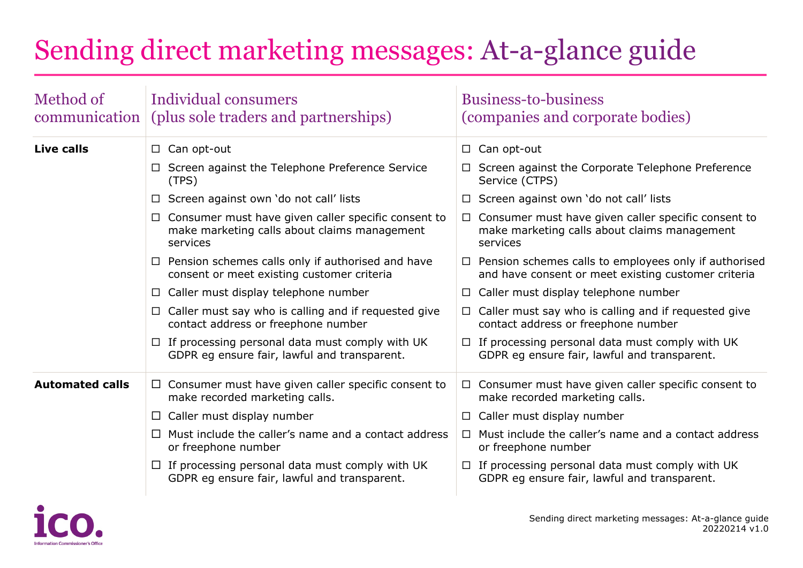## Sending direct marketing messages: At-a-glance guide

| Method of<br>communication | Individual consumers<br>(plus sole traders and partnerships)                                                    | <b>Business-to-business</b><br>(companies and corporate bodies)                                                        |
|----------------------------|-----------------------------------------------------------------------------------------------------------------|------------------------------------------------------------------------------------------------------------------------|
| <b>Live calls</b>          | $\Box$ Can opt-out                                                                                              | $\Box$ Can opt-out                                                                                                     |
|                            | □ Screen against the Telephone Preference Service<br>(TPS)                                                      | $\Box$ Screen against the Corporate Telephone Preference<br>Service (CTPS)                                             |
|                            | $\Box$ Screen against own 'do not call' lists                                                                   | $\Box$ Screen against own 'do not call' lists                                                                          |
|                            | Consumer must have given caller specific consent to<br>make marketing calls about claims management<br>services | $\Box$ Consumer must have given caller specific consent to<br>make marketing calls about claims management<br>services |
|                            | Pension schemes calls only if authorised and have<br>$\Box$<br>consent or meet existing customer criteria       | $\Box$ Pension schemes calls to employees only if authorised<br>and have consent or meet existing customer criteria    |
|                            | Caller must display telephone number<br>⊔                                                                       | $\Box$ Caller must display telephone number                                                                            |
|                            | $\Box$ Caller must say who is calling and if requested give<br>contact address or freephone number              | $\Box$ Caller must say who is calling and if requested give<br>contact address or freephone number                     |
|                            | $\Box$ If processing personal data must comply with UK<br>GDPR eg ensure fair, lawful and transparent.          | $\Box$ If processing personal data must comply with UK<br>GDPR eg ensure fair, lawful and transparent.                 |
| <b>Automated calls</b>     | Consumer must have given caller specific consent to<br>$\Box$<br>make recorded marketing calls.                 | $\Box$ Consumer must have given caller specific consent to<br>make recorded marketing calls.                           |
|                            | Caller must display number<br>⊔                                                                                 | $\Box$ Caller must display number                                                                                      |
|                            | Must include the caller's name and a contact address<br>$\mathsf{L}$<br>or freephone number                     | $\Box$ Must include the caller's name and a contact address<br>or freephone number                                     |
|                            | $\Box$ If processing personal data must comply with UK<br>GDPR eg ensure fair, lawful and transparent.          | $\Box$ If processing personal data must comply with UK<br>GDPR eg ensure fair, lawful and transparent.                 |